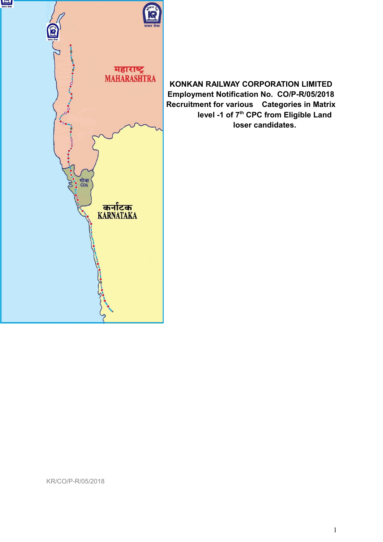

**KONKAN RAILWAY CORPORATION LIMITED Employment Notification No. CO/P-R/05/2018 Recruitment for various Categories in Matrix level -1 of 7th CPC from Eligible Land loser candidates.**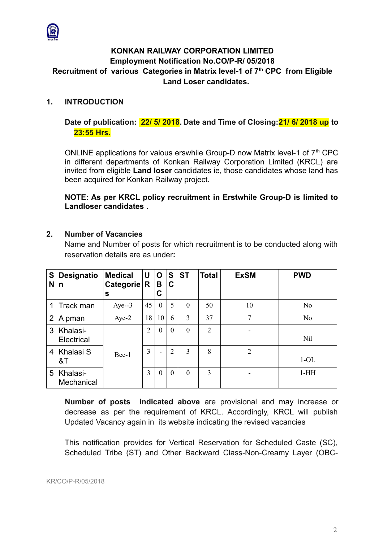

# **KONKAN RAILWAY CORPORATION LIMITED Employment Notification No.CO/P-R/ 05/2018 Recruitment of various Categories in Matrix level-1 of 7th CPC from Eligible Land Loser candidates.**

# **1. INTRODUCTION**

# **Date of publication: 22/ 5/ 2018. Date and Time of Closing:21/ 6/ 2018 up to 23:55 Hrs.**

ONLINE applications for vaious erswhile Group-D now Matrix level-1 of  $7<sup>th</sup>$  CPC in different departments of Konkan Railway Corporation Limited (KRCL) are invited from eligible **Land loser** candidates ie, those candidates whose land has been acquired for Konkan Railway project.

**NOTE: As per KRCL policy recruitment in Erstwhile Group-D is limited to Landloser candidates .**

# **2. Number of Vacancies**

Name and Number of posts for which recruitment is to be conducted along with reservation details are as under**:**

| S<br>N         | <b>Designatio</b><br>n | <b>Medical</b><br>Categorie $\vert$ R<br>s | U              | O<br>В<br>C              | S<br>C         | <b>ST</b>      | <b>Total</b> | <b>ExSM</b>    | <b>PWD</b>     |
|----------------|------------------------|--------------------------------------------|----------------|--------------------------|----------------|----------------|--------------|----------------|----------------|
| 1              | Track man              | $Aye-3$                                    | 45             | $\theta$                 | 5              | $\theta$       | 50           | 10             | N <sub>o</sub> |
| $\overline{2}$ | A pman                 | Aye-2                                      | 18             | 10                       | 6              | 3              | 37           | $\overline{7}$ | N <sub>o</sub> |
| 3              | Khalasi-<br>Electrical |                                            | $\overline{2}$ | $\theta$                 | $\theta$       | $\theta$       | 2            |                | <b>Nil</b>     |
| $\overline{4}$ | Khalasi S<br>8T        | Bee-1                                      | 3              | $\overline{\phantom{a}}$ | $\overline{2}$ | 3              | 8            | $\overline{2}$ | $1-OL$         |
| 5              | Khalasi-<br>Mechanical |                                            | 3              | $\theta$                 | $\theta$       | $\overline{0}$ | 3            | -              | $1-HH$         |

**Number of posts indicated above** are provisional and may increase or decrease as per the requirement of KRCL. Accordingly, KRCL will publish Updated Vacancy again in its website indicating the revised vacancies

This notification provides for Vertical Reservation for Scheduled Caste (SC), Scheduled Tribe (ST) and Other Backward Class-Non-Creamy Layer (OBC-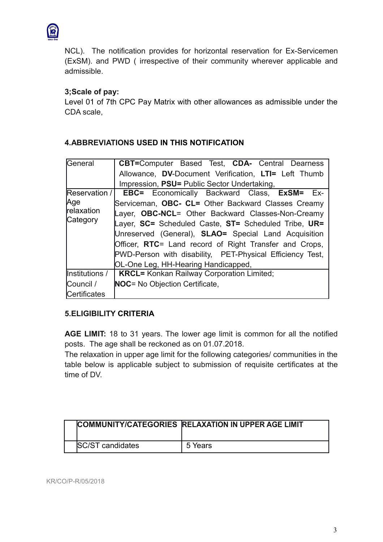

NCL). The notification provides for horizontal reservation for Ex-Servicemen (ExSM). and PWD ( irrespective of their community wherever applicable and admissible.

# **3;Scale of pay:**

Level 01 of 7th CPC Pay Matrix with other allowances as admissible under the CDA scale,

#### General **CBT=**Computer Based Test, **CDA-** Central Dearness Allowance, **DV**-Document Verification, **LTI=** Left Thumb Impression, **PSU=** Public Sector Undertaking, Reservation / Age relaxation **Category EBC=** Economically Backward Class, **ExSM=** Ex-Serviceman, **OBC- CL=** Other Backward Classes Creamy Layer, **OBC-NCL**= Other Backward Classes-Non-Creamy Layer, **SC=** Scheduled Caste, **ST=** Scheduled Tribe, **UR=** Unreserved (General), **SLAO=** Special Land Acquisition Officer, **RTC**= Land record of Right Transfer and Crops, PWD-Person with disability, PET-Physical Efficiency Test, OL-One Leg, HH-Hearing Handicapped, Institutions / Council / Certificates **KRCL=** Konkan Railway Corporation Limited; **NOC**= No Objection Certificate,

# **4.ABBREVIATIONS USED IN THIS NOTIFICATION**

# **5.ELIGIBILITY CRITERIA**

**AGE LIMIT:** 18 to 31 years. The lower age limit is common for all the notified posts. The age shall be reckoned as on 01.07.2018.

The relaxation in upper age limit for the following categories/ communities in the table below is applicable subject to submission of requisite certificates at the time of DV.

|                         | COMMUNITY/CATEGORIES RELAXATION IN UPPER AGE LIMIT |
|-------------------------|----------------------------------------------------|
| <b>SC/ST candidates</b> | 5 Years                                            |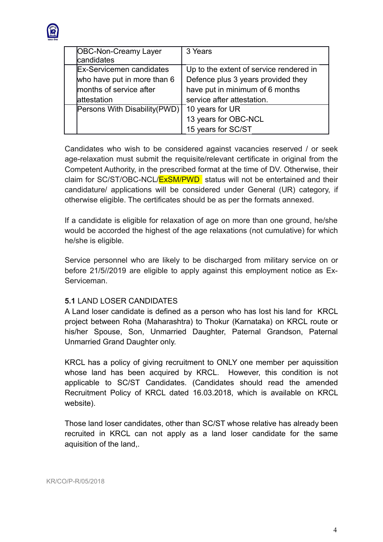

| <b>OBC-Non-Creamy Layer</b><br>candidates | 3 Years                                 |
|-------------------------------------------|-----------------------------------------|
| <b>Ex-Servicemen candidates</b>           | Up to the extent of service rendered in |
| who have put in more than 6               | Defence plus 3 years provided they      |
| months of service after                   | have put in minimum of 6 months         |
| attestation                               | service after attestation.              |
| Persons With Disability (PWD)             | 10 years for UR                         |
|                                           | 13 years for OBC-NCL                    |
|                                           | 15 years for SC/ST                      |

Candidates who wish to be considered against vacancies reserved / or seek age-relaxation must submit the requisite/relevant certificate in original from the Competent Authority, in the prescribed format at the time of DV. Otherwise, their claim for SC/ST/OBC-NCL/ExSM/PWD status will not be entertained and their candidature/ applications will be considered under General (UR) category, if otherwise eligible. The certificates should be as per the formats annexed.

If a candidate is eligible for relaxation of age on more than one ground, he/she would be accorded the highest of the age relaxations (not cumulative) for which he/she is eligible.

Service personnel who are likely to be discharged from military service on or before 21/5//2019 are eligible to apply against this employment notice as Ex-Serviceman.

# **5.1** LAND LOSER CANDIDATES

A Land loser candidate is defined as a person who has lost his land for KRCL project between Roha (Maharashtra) to Thokur (Karnataka) on KRCL route or his/her Spouse, Son, Unmarried Daughter, Paternal Grandson, Paternal Unmarried Grand Daughter only.

KRCL has a policy of giving recruitment to ONLY one member per aquissition whose land has been acquired by KRCL. However, this condition is not applicable to SC/ST Candidates. (Candidates should read the amended Recruitment Policy of KRCL dated 16.03.2018, which is available on KRCL website).

Those land loser candidates, other than SC/ST whose relative has already been recruited in KRCL can not apply as a land loser candidate for the same aquisition of the land,.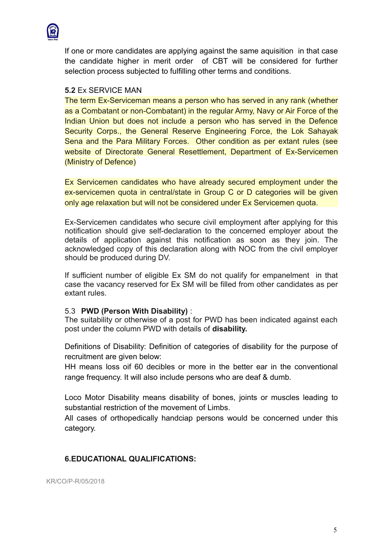

If one or more candidates are applying against the same aquisition in that case the candidate higher in merit order of CBT will be considered for further selection process subjected to fulfilling other terms and conditions.

#### **5.2** Ex SERVICE MAN

The term Ex-Serviceman means a person who has served in any rank (whether as a Combatant or non-Combatant) in the regular Army, Navy or Air Force of the Indian Union but does not include a person who has served in the Defence Security Corps., the General Reserve Engineering Force, the Lok Sahayak Sena and the Para Military Forces. Other condition as per extant rules (see website of Directorate General Resettlement, Department of Ex-Servicemen (Ministry of Defence)

Ex Servicemen candidates who have already secured employment under the ex-servicemen quota in central/state in Group C or D categories will be given only age relaxation but will not be considered under Ex Servicemen quota.

Ex-Servicemen candidates who secure civil employment after applying for this notification should give self-declaration to the concerned employer about the details of application against this notification as soon as they join. The acknowledged copy of this declaration along with NOC from the civil employer should be produced during DV.

If sufficient number of eligible Ex SM do not qualify for empanelment in that case the vacancy reserved for Ex SM will be filled from other candidates as per extant rules.

#### 5.3 **PWD (Person With Disability)** :

The suitability or otherwise of a post for PWD has been indicated against each post under the column PWD with details of **disability.**

Definitions of Disability: Definition of categories of disability for the purpose of recruitment are given below:

HH means loss oif 60 decibles or more in the better ear in the conventional range frequency. It will also include persons who are deaf & dumb.

Loco Motor Disability means disability of bones, joints or muscles leading to substantial restriction of the movement of Limbs.

All cases of orthopedically handciap persons would be concerned under this category.

## **6.EDUCATIONAL QUALIFICATIONS:**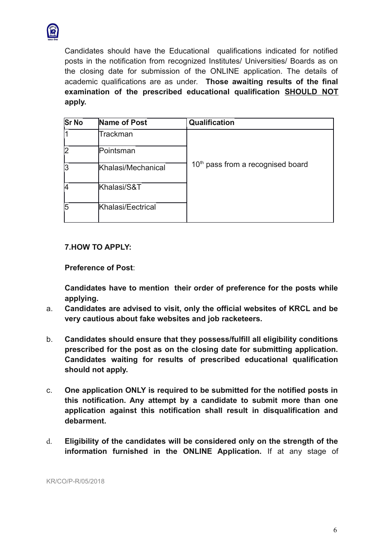

Candidates should have the Educational qualifications indicated for notified posts in the notification from recognized Institutes/ Universities/ Boards as on the closing date for submission of the ONLINE application. The details of academic qualifications are as under. **Those awaiting results of the final examination of the prescribed educational qualification SHOULD NOT apply.**

| <b>Sr No</b> | Name of Post       | <b>Qualification</b>                          |
|--------------|--------------------|-----------------------------------------------|
|              | Trackman           |                                               |
|              | Pointsman          |                                               |
|              | Khalasi/Mechanical | 10 <sup>th</sup> pass from a recognised board |
|              | Khalasi/S&T        |                                               |
|              | Khalasi/Eectrical  |                                               |

## **7.HOW TO APPLY:**

**Preference of Post**:

**Candidates have to mention their order of preference for the posts while applying.**

- a. **Candidates are advised to visit, only the official websites of KRCL and be very cautious about fake websites and job racketeers.**
- b. **Candidates should ensure that they possess/fulfill all eligibility conditions prescribed for the post as on the closing date for submitting application. Candidates waiting for results of prescribed educational qualification should not apply.**
- c. **One application ONLY is required to be submitted for the notified posts in this notification. Any attempt by a candidate to submit more than one application against this notification shall result in disqualification and debarment.**
- d. **Eligibility of the candidates will be considered only on the strength of the information furnished in the ONLINE Application.** If at any stage of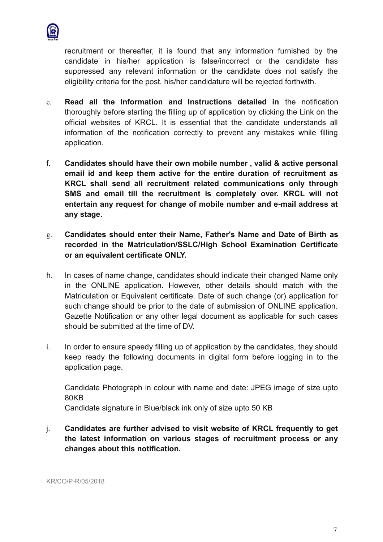

recruitment or thereafter, it is found that any information furnished by the candidate in his/her application is false/incorrect or the candidate has suppressed any relevant information or the candidate does not satisfy the eligibility criteria for the post, his/her candidature will be rejected forthwith.

- e. **Read all the Information and Instructions detailed in** the notification thoroughly before starting the filling up of application by clicking the Link on the official websites of KRCL. It is essential that the candidate understands all information of the notification correctly to prevent any mistakes while filling application.
- f. **Candidates should have their own mobile number , valid & active personal email id and keep them active for the entire duration of recruitment as KRCL shall send all recruitment related communications only through SMS and email till the recruitment is completely over. KRCL will not entertain any request for change of mobile number and e-mail address at any stage.**
- g. **Candidates should enter their Name, Father's Name and Date of Birth as recorded in the Matriculation/SSLC/High School Examination Certificate or an equivalent certificate ONLY.**
- h. In cases of name change, candidates should indicate their changed Name only in the ONLINE application. However, other details should match with the Matriculation or Equivalent certificate. Date of such change (or) application for such change should be prior to the date of submission of ONLINE application. Gazette Notification or any other legal document as applicable for such cases should be submitted at the time of DV.
- i. In order to ensure speedy filling up of application by the candidates, they should keep ready the following documents in digital form before logging in to the application page.

Candidate Photograph in colour with name and date: JPEG image of size upto 80KB

Candidate signature in Blue/black ink only of size upto 50 KB

j. **Candidates are further advised to visit website of KRCL frequently to get the latest information on various stages of recruitment process or any changes about this notification.**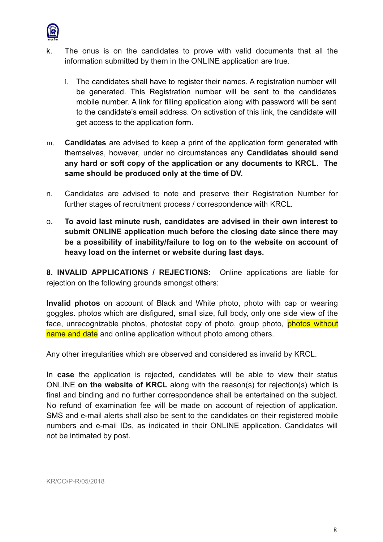

- k. The onus is on the candidates to prove with valid documents that all the information submitted by them in the ONLINE application are true.
	- l. The candidates shall have to register their names. A registration number will be generated. This Registration number will be sent to the candidates mobile number. A link for filling application along with password will be sent to the candidate's email address. On activation of this link, the candidate will get access to the application form.
- m. **Candidates** are advised to keep a print of the application form generated with themselves, however, under no circumstances any **Candidates should send any hard or soft copy of the application or any documents to KRCL. The same should be produced only at the time of DV.**
- n. Candidates are advised to note and preserve their Registration Number for further stages of recruitment process / correspondence with KRCL.
- o. **To avoid last minute rush, candidates are advised in their own interest to submit ONLINE application much before the closing date since there may be a possibility of inability/failure to log on to the website on account of heavy load on the internet or website during last days.**

**8. INVALID APPLICATIONS / REJECTIONS:** Online applications are liable for rejection on the following grounds amongst others:

**Invalid photos** on account of Black and White photo, photo with cap or wearing goggles. photos which are disfigured, small size, full body, only one side view of the face, unrecognizable photos, photostat copy of photo, group photo, photos without name and date and online application without photo among others.

Any other irregularities which are observed and considered as invalid by KRCL.

In **case** the application is rejected, candidates will be able to view their status ONLINE **on the website of KRCL** along with the reason(s) for rejection(s) which is final and binding and no further correspondence shall be entertained on the subject. No refund of examination fee will be made on account of rejection of application. SMS and e-mail alerts shall also be sent to the candidates on their registered mobile numbers and e-mail IDs, as indicated in their ONLINE application. Candidates will not be intimated by post.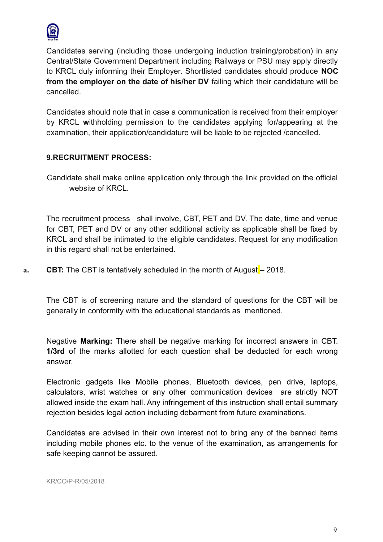

Candidates serving (including those undergoing induction training/probation) in any Central/State Government Department including Railways or PSU may apply directly to KRCL duly informing their Employer. Shortlisted candidates should produce **NOC from the employer on the date of his/her DV** failing which their candidature will be cancelled.

Candidates should note that in case a communication is received from their employer by KRCL **w**ithholding permission to the candidates applying for/appearing at the examination, their application/candidature will be liable to be rejected /cancelled.

# **9.RECRUITMENT PROCESS:**

 Candidate shall make online application only through the link provided on the official website of KRCL.

The recruitment process shall involve, CBT, PET and DV. The date, time and venue for CBT, PET and DV or any other additional activity as applicable shall be fixed by KRCL and shall be intimated to the eligible candidates. Request for any modification in this regard shall not be entertained.

**a. CBT:** The CBT is tentatively scheduled in the month of August – 2018.

The CBT is of screening nature and the standard of questions for the CBT will be generally in conformity with the educational standards as mentioned.

Negative **Marking:** There shall be negative marking for incorrect answers in CBT. **1/3rd** of the marks allotted for each question shall be deducted for each wrong answer.

Electronic gadgets like Mobile phones, Bluetooth devices, pen drive, laptops, calculators, wrist watches or any other communication devices are strictly NOT allowed inside the exam hall. Any infringement of this instruction shall entail summary rejection besides legal action including debarment from future examinations.

Candidates are advised in their own interest not to bring any of the banned items including mobile phones etc. to the venue of the examination, as arrangements for safe keeping cannot be assured.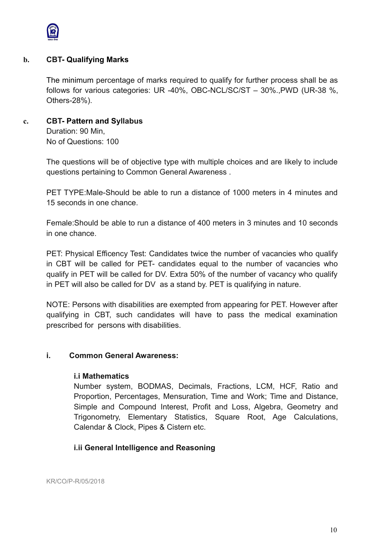

### **b. CBT- Qualifying Marks**

The minimum percentage of marks required to qualify for further process shall be as follows for various categories: UR -40%, OBC-NCL/SC/ST – 30%.,PWD (UR-38 %, Others-28%).

### **c. CBT- Pattern and Syllabus**

Duration: 90 Min, No of Questions: 100

The questions will be of objective type with multiple choices and are likely to include questions pertaining to Common General Awareness .

PET TYPE:Male-Should be able to run a distance of 1000 meters in 4 minutes and 15 seconds in one chance.

Female:Should be able to run a distance of 400 meters in 3 minutes and 10 seconds in one chance.

PET: Physical Efficency Test: Candidates twice the number of vacancies who qualify in CBT will be called for PET- candidates equal to the number of vacancies who qualify in PET will be called for DV. Extra 50% of the number of vacancy who qualify in PET will also be called for DV as a stand by. PET is qualifying in nature.

NOTE: Persons with disabilities are exempted from appearing for PET. However after qualifying in CBT, such candidates will have to pass the medical examination prescribed for persons with disabilities.

#### **i. Common General Awareness:**

#### **i.i Mathematics**

Number system, BODMAS, Decimals, Fractions, LCM, HCF, Ratio and Proportion, Percentages, Mensuration, Time and Work; Time and Distance, Simple and Compound Interest, Profit and Loss, Algebra, Geometry and Trigonometry, Elementary Statistics, Square Root, Age Calculations, Calendar & Clock, Pipes & Cistern etc.

## **i.ii General Intelligence and Reasoning**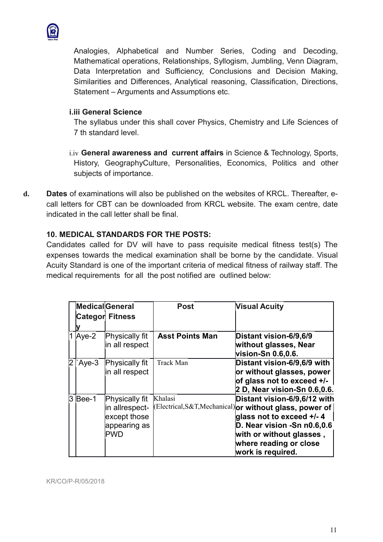

Analogies, Alphabetical and Number Series, Coding and Decoding, Mathematical operations, Relationships, Syllogism, Jumbling, Venn Diagram, Data Interpretation and Sufficiency, Conclusions and Decision Making, Similarities and Differences, Analytical reasoning, Classification, Directions, Statement – Arguments and Assumptions etc.

# **i.iii General Science**

The syllabus under this shall cover Physics, Chemistry and Life Sciences of 7 th standard level.

i.iv **General awareness and current affairs** in Science & Technology, Sports, History, GeographyCulture, Personalities, Economics, Politics and other subjects of importance.

**d. Dates** of examinations will also be published on the websites of KRCL. Thereafter, ecall letters for CBT can be downloaded from KRCL website. The exam centre, date indicated in the call letter shall be final.

# **10. MEDICAL STANDARDS FOR THE POSTS:**

Candidates called for DV will have to pass requisite medical fitness test(s) The expenses towards the medical examination shall be borne by the candidate. Visual Acuity Standard is one of the important criteria of medical fitness of railway staff. The medical requirements for all the post notified are outlined below:

|   | <b>Medical</b> General<br><b>Categor Fitness</b> |                                                                                | <b>Post</b>            | <b>Visual Acuity</b>                                                                                                                                                                                                            |  |  |
|---|--------------------------------------------------|--------------------------------------------------------------------------------|------------------------|---------------------------------------------------------------------------------------------------------------------------------------------------------------------------------------------------------------------------------|--|--|
|   |                                                  |                                                                                |                        |                                                                                                                                                                                                                                 |  |  |
|   | Aye-2                                            | Physically fit<br>in all respect                                               | <b>Asst Points Man</b> | Distant vision-6/9,6/9<br>without glasses, Near<br>vision-Sn 0.6,0.6.                                                                                                                                                           |  |  |
| 2 | Aye-3                                            | Physically fit<br>in all respect                                               | Track Man              | Distant vision-6/9,6/9 with<br>or without glasses, power<br>of glass not to exceed +/-<br>2 D, Near vision-Sn 0.6,0.6.                                                                                                          |  |  |
|   | 3 Bee-1                                          | Physically fit<br>in allrespect-<br>except those<br>appearing as<br><b>PWD</b> | Khalasi                | Distant vision-6/9,6/12 with<br>(Electrical, S&T, Mechanical) or without glass, power of<br>glass not to exceed +/- 4<br>D. Near vision -Sn n0.6,0.6<br>with or without glasses,<br>where reading or close<br>work is required. |  |  |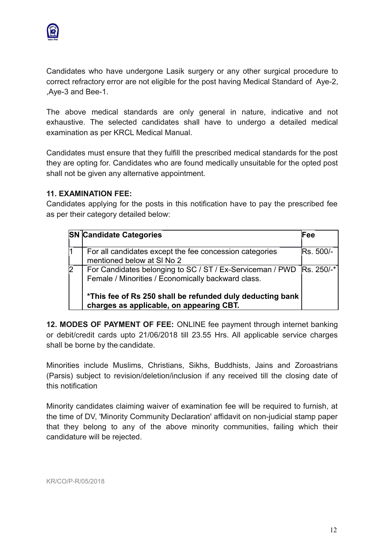

Candidates who have undergone Lasik surgery or any other surgical procedure to correct refractory error are not eligible for the post having Medical Standard of Aye-2, ,Aye-3 and Bee-1.

The above medical standards are only general in nature, indicative and not exhaustive. The selected candidates shall have to undergo a detailed medical examination as per KRCL Medical Manual.

Candidates must ensure that they fulfill the prescribed medical standards for the post they are opting for. Candidates who are found medically unsuitable for the opted post shall not be given any alternative appointment.

# **11. EXAMINATION FEE:**

Candidates applying for the posts in this notification have to pay the prescribed fee as per their category detailed below:

|                | <b>SN Candidate Categories</b>                                                                                               | Fee              |
|----------------|------------------------------------------------------------------------------------------------------------------------------|------------------|
|                | For all candidates except the fee concession categories<br>mentioned below at SI No 2                                        | <b>Rs. 500/-</b> |
| $\overline{2}$ | For Candidates belonging to SC / ST / Ex-Serviceman / PWD   Rs. 250/-*<br>Female / Minorities / Economically backward class. |                  |
|                | *This fee of Rs 250 shall be refunded duly deducting bank<br>charges as applicable, on appearing CBT.                        |                  |

**12. MODES OF PAYMENT OF FEE:** ONLINE fee payment through internet banking or debit/credit cards upto 21/06/2018 till 23.55 Hrs. All applicable service charges shall be borne by the candidate.

Minorities include Muslims, Christians, Sikhs, Buddhists, Jains and Zoroastrians (Parsis) subject to revision/deletion/inclusion if any received till the closing date of this notification

Minority candidates claiming waiver of examination fee will be required to furnish, at the time of DV, 'Minority Community Declaration' affidavit on non-judicial stamp paper that they belong to any of the above minority communities, failing which their candidature will be rejected.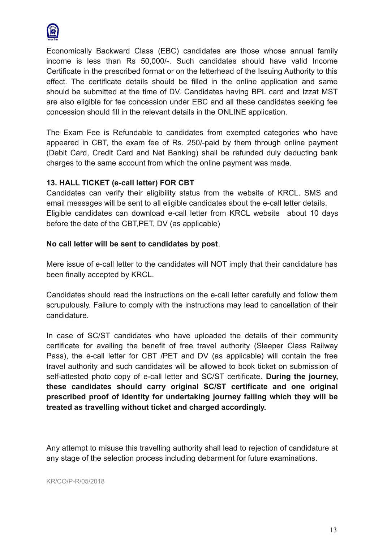

Economically Backward Class (EBC) candidates are those whose annual family income is less than Rs 50,000/-. Such candidates should have valid Income Certificate in the prescribed format or on the letterhead of the Issuing Authority to this effect. The certificate details should be filled in the online application and same should be submitted at the time of DV. Candidates having BPL card and Izzat MST are also eligible for fee concession under EBC and all these candidates seeking fee concession should fill in the relevant details in the ONLINE application.

The Exam Fee is Refundable to candidates from exempted categories who have appeared in CBT, the exam fee of Rs. 250/-paid by them through online payment (Debit Card, Credit Card and Net Banking) shall be refunded duly deducting bank charges to the same account from which the online payment was made.

# **13. HALL TICKET (e-call letter) FOR CBT**

Candidates can verify their eligibility status from the website of KRCL. SMS and email messages will be sent to all eligible candidates about the e-call letter details. Eligible candidates can download e-call letter from KRCL website about 10 days before the date of the CBT,PET, DV (as applicable)

## **No call letter will be sent to candidates by post**.

Mere issue of e-call letter to the candidates will NOT imply that their candidature has been finally accepted by KRCL.

Candidates should read the instructions on the e-call letter carefully and follow them scrupulously. Failure to comply with the instructions may lead to cancellation of their candidature.

In case of SC/ST candidates who have uploaded the details of their community certificate for availing the benefit of free travel authority (Sleeper Class Railway Pass), the e-call letter for CBT /PET and DV (as applicable) will contain the free travel authority and such candidates will be allowed to book ticket on submission of self-attested photo copy of e-call letter and SC/ST certificate. **During the journey, these candidates should carry original SC/ST certificate and one original prescribed proof of identity for undertaking journey failing which they will be treated as travelling without ticket and charged accordingly.**

Any attempt to misuse this travelling authority shall lead to rejection of candidature at any stage of the selection process including debarment for future examinations.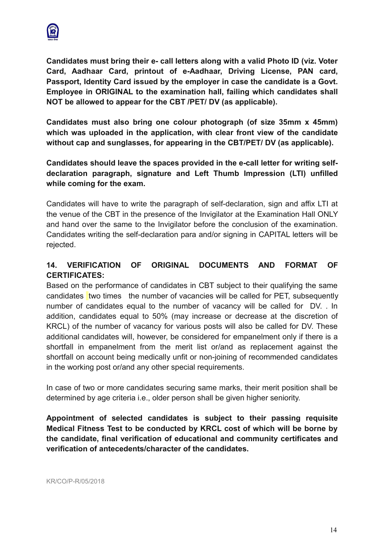

**Candidates must bring their e- call letters along with a valid Photo ID (viz. Voter Card, Aadhaar Card, printout of e-Aadhaar, Driving License, PAN card, Passport, Identity Card issued by the employer in case the candidate is a Govt. Employee in ORIGINAL to the examination hall, failing which candidates shall NOT be allowed to appear for the CBT /PET/ DV (as applicable).** 

**Candidates must also bring one colour photograph (of size 35mm x 45mm) which was uploaded in the application, with clear front view of the candidate without cap and sunglasses, for appearing in the CBT/PET/ DV (as applicable).**

**Candidates should leave the spaces provided in the e-call letter for writing selfdeclaration paragraph, signature and Left Thumb Impression (LTI) unfilled while coming for the exam.**

Candidates will have to write the paragraph of self-declaration, sign and affix LTI at the venue of the CBT in the presence of the Invigilator at the Examination Hall ONLY and hand over the same to the Invigilator before the conclusion of the examination. Candidates writing the self-declaration para and/or signing in CAPITAL letters will be rejected.

# **14. VERIFICATION OF ORIGINAL DOCUMENTS AND FORMAT OF CERTIFICATES:**

Based on the performance of candidates in CBT subject to their qualifying the same candidates two times the number of vacancies will be called for PET, subsequently number of candidates equal to the number of vacancy will be called for DV. . In addition, candidates equal to 50% (may increase or decrease at the discretion of KRCL) of the number of vacancy for various posts will also be called for DV. These additional candidates will, however, be considered for empanelment only if there is a shortfall in empanelment from the merit list or/and as replacement against the shortfall on account being medically unfit or non-joining of recommended candidates in the working post or/and any other special requirements.

In case of two or more candidates securing same marks, their merit position shall be determined by age criteria i.e., older person shall be given higher seniority.

**Appointment of selected candidates is subject to their passing requisite Medical Fitness Test to be conducted by KRCL cost of which will be borne by the candidate, final verification of educational and community certificates and verification of antecedents/character of the candidates.**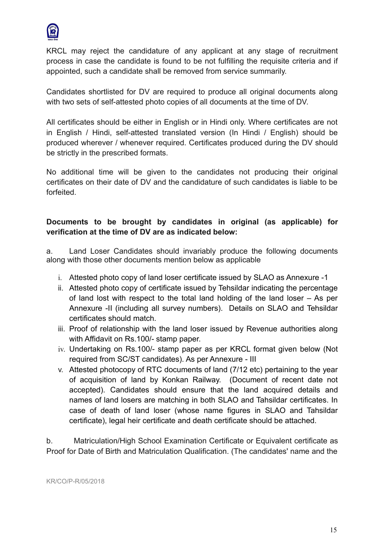

KRCL may reject the candidature of any applicant at any stage of recruitment process in case the candidate is found to be not fulfilling the requisite criteria and if appointed, such a candidate shall be removed from service summarily.

Candidates shortlisted for DV are required to produce all original documents along with two sets of self-attested photo copies of all documents at the time of DV.

All certificates should be either in English or in Hindi only. Where certificates are not in English / Hindi, self-attested translated version (In Hindi / English) should be produced wherever / whenever required. Certificates produced during the DV should be strictly in the prescribed formats.

No additional time will be given to the candidates not producing their original certificates on their date of DV and the candidature of such candidates is liable to be forfeited.

# **Documents to be brought by candidates in original (as applicable) for verification at the time of DV are as indicated below:**

a. Land Loser Candidates should invariably produce the following documents along with those other documents mention below as applicable

- i. Attested photo copy of land loser certificate issued by SLAO as Annexure -1
- ii. Attested photo copy of certificate issued by Tehsildar indicating the percentage of land lost with respect to the total land holding of the land loser – As per Annexure -II (including all survey numbers). Details on SLAO and Tehsildar certificates should match.
- iii. Proof of relationship with the land loser issued by Revenue authorities along with Affidavit on Rs.100/- stamp paper.
- iv. Undertaking on Rs.100/- stamp paper as per KRCL format given below (Not required from SC/ST candidates). As per Annexure - III
- v. Attested photocopy of RTC documents of land (7/12 etc) pertaining to the year of acquisition of land by Konkan Railway. (Document of recent date not accepted). Candidates should ensure that the land acquired details and names of land losers are matching in both SLAO and Tahsildar certificates. In case of death of land loser (whose name figures in SLAO and Tahsildar certificate), legal heir certificate and death certificate should be attached.

b. Matriculation/High School Examination Certificate or Equivalent certificate as Proof for Date of Birth and Matriculation Qualification. (The candidates' name and the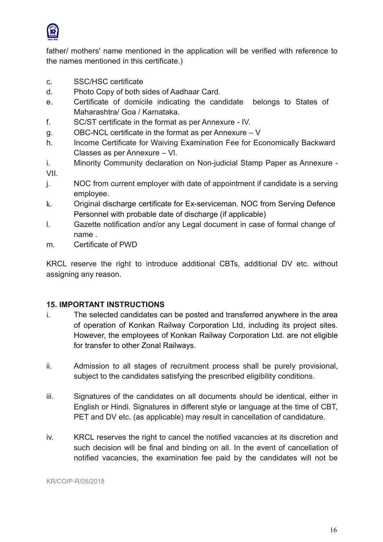

father/ mothers' name mentioned in the application will be verified with reference to the names mentioned in this certificate.)

- c. SSC/HSC certificate
- d. Photo Copy of both sides of Aadhaar Card.
- e. Certificate of domicile indicating the candidate belongs to States of Maharashtra/ Goa / Karnataka.
- f. SC/ST certificate in the format as per Annexure IV.
- g. OBC-NCL certificate in the format as per Annexure V
- h. Income Certificate for Waiving Examination Fee for Economically Backward Classes as per Annexure – Vl.
- i. Minority Community declaration on Non-judicial Stamp Paper as Annexure VII.
- j. NOC from current employer with date of appointment if candidate is a serving employee.
- k. Original discharge certificate for Ex-serviceman. NOC from Serving Defence Personnel with probable date of discharge (if applicable)
- l. Gazette notification and/or any Legal document in case of formal change of name .
- m. Certificate of PWD

KRCL reserve the right to introduce additional CBTs, additional DV etc. without assigning any reason.

# **15. IMPORTANT INSTRUCTIONS**

- i. The selected candidates can be posted and transferred anywhere in the area of operation of Konkan Railway Corporation Ltd, including its project sites. However, the employees of Konkan Railway Corporation Ltd. are not eligible for transfer to other Zonal Railways.
- ii. Admission to all stages of recruitment process shall be purely provisional, subject to the candidates satisfying the prescribed eligibility conditions.
- iii. Signatures of the candidates on all documents should be identical, either in English or Hindi. Signatures in different style or language at the time of CBT, PET and DV etc. (as applicable) may result in cancellation of candidature.
- iv. KRCL reserves the right to cancel the notified vacancies at its discretion and such decision will be final and binding on all. In the event of cancellation of notified vacancies, the examination fee paid by the candidates will not be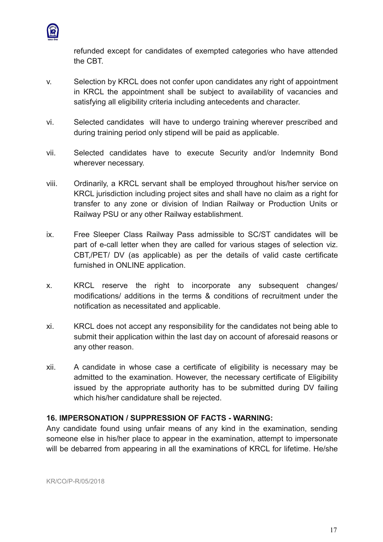

refunded except for candidates of exempted categories who have attended the CBT.

- v. Selection by KRCL does not confer upon candidates any right of appointment in KRCL the appointment shall be subject to availability of vacancies and satisfying all eligibility criteria including antecedents and character.
- vi. Selected candidates will have to undergo training wherever prescribed and during training period only stipend will be paid as applicable.
- vii. Selected candidates have to execute Security and/or Indemnity Bond wherever necessary.
- viii. Ordinarily, a KRCL servant shall be employed throughout his/her service on KRCL jurisdiction including project sites and shall have no claim as a right for transfer to any zone or division of Indian Railway or Production Units or Railway PSU or any other Railway establishment.
- ix. Free Sleeper Class Railway Pass admissible to SC/ST candidates will be part of e-call letter when they are called for various stages of selection viz. CBT,/PET/ DV (as applicable) as per the details of valid caste certificate furnished in ONLINE application.
- x. KRCL reserve the right to incorporate any subsequent changes/ modifications/ additions in the terms & conditions of recruitment under the notification as necessitated and applicable.
- xi. KRCL does not accept any responsibility for the candidates not being able to submit their application within the last day on account of aforesaid reasons or any other reason.
- xii. A candidate in whose case a certificate of eligibility is necessary may be admitted to the examination. However, the necessary certificate of Eligibility issued by the appropriate authority has to be submitted during DV failing which his/her candidature shall be rejected.

# **16. IMPERSONATION / SUPPRESSION OF FACTS - WARNING:**

Any candidate found using unfair means of any kind in the examination, sending someone else in his/her place to appear in the examination, attempt to impersonate will be debarred from appearing in all the examinations of KRCL for lifetime. He/she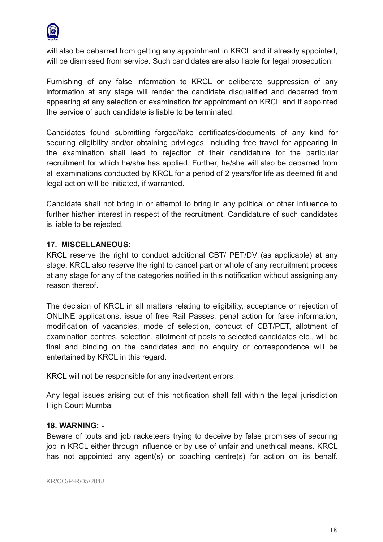

will also be debarred from getting any appointment in KRCL and if already appointed, will be dismissed from service. Such candidates are also liable for legal prosecution.

Furnishing of any false information to KRCL or deliberate suppression of any information at any stage will render the candidate disqualified and debarred from appearing at any selection or examination for appointment on KRCL and if appointed the service of such candidate is liable to be terminated.

Candidates found submitting forged/fake certificates/documents of any kind for securing eligibility and/or obtaining privileges, including free travel for appearing in the examination shall lead to rejection of their candidature for the particular recruitment for which he/she has applied. Further, he/she will also be debarred from all examinations conducted by KRCL for a period of 2 years/for life as deemed fit and legal action will be initiated, if warranted.

Candidate shall not bring in or attempt to bring in any political or other influence to further his/her interest in respect of the recruitment. Candidature of such candidates is liable to be rejected.

# **17. MISCELLANEOUS:**

KRCL reserve the right to conduct additional CBT/ PET/DV (as applicable) at any stage. KRCL also reserve the right to cancel part or whole of any recruitment process at any stage for any of the categories notified in this notification without assigning any reason thereof.

The decision of KRCL in all matters relating to eligibility, acceptance or rejection of ONLINE applications, issue of free Rail Passes, penal action for false information, modification of vacancies, mode of selection, conduct of CBT/PET, allotment of examination centres, selection, allotment of posts to selected candidates etc., will be final and binding on the candidates and no enquiry or correspondence will be entertained by KRCL in this regard.

KRCL will not be responsible for any inadvertent errors.

Any legal issues arising out of this notification shall fall within the legal jurisdiction High Court Mumbai

## **18. WARNING: -**

Beware of touts and job racketeers trying to deceive by false promises of securing job in KRCL either through influence or by use of unfair and unethical means. KRCL has not appointed any agent(s) or coaching centre(s) for action on its behalf.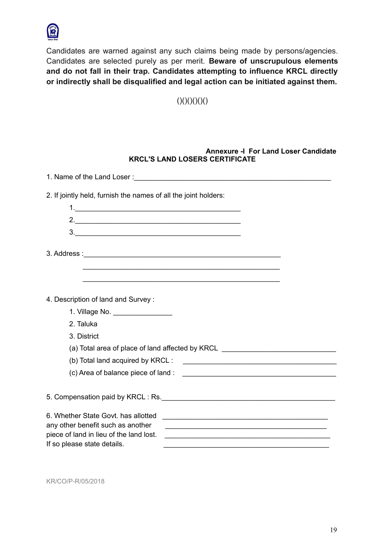

Candidates are warned against any such claims being made by persons/agencies. Candidates are selected purely as per merit. **Beware of unscrupulous elements and do not fall in their trap. Candidates attempting to influence KRCL directly or indirectly shall be disqualified and legal action can be initiated against them.**

 $()()()()()()()$ 

#### **Annexure -I For Land Loser Candidate KRCL'S LAND LOSERS CERTIFICATE**

| 2. If jointly held, furnish the names of all the joint holders:                                                                                                                                                                                                                                                                                                                                      |
|------------------------------------------------------------------------------------------------------------------------------------------------------------------------------------------------------------------------------------------------------------------------------------------------------------------------------------------------------------------------------------------------------|
|                                                                                                                                                                                                                                                                                                                                                                                                      |
| 2.                                                                                                                                                                                                                                                                                                                                                                                                   |
| 3.                                                                                                                                                                                                                                                                                                                                                                                                   |
|                                                                                                                                                                                                                                                                                                                                                                                                      |
|                                                                                                                                                                                                                                                                                                                                                                                                      |
|                                                                                                                                                                                                                                                                                                                                                                                                      |
|                                                                                                                                                                                                                                                                                                                                                                                                      |
| 4. Description of land and Survey:                                                                                                                                                                                                                                                                                                                                                                   |
| 1. Village No. _________________                                                                                                                                                                                                                                                                                                                                                                     |
| 2. Taluka                                                                                                                                                                                                                                                                                                                                                                                            |
| 3. District                                                                                                                                                                                                                                                                                                                                                                                          |
| (a) Total area of place of land affected by KRCL _______________________________                                                                                                                                                                                                                                                                                                                     |
|                                                                                                                                                                                                                                                                                                                                                                                                      |
|                                                                                                                                                                                                                                                                                                                                                                                                      |
|                                                                                                                                                                                                                                                                                                                                                                                                      |
|                                                                                                                                                                                                                                                                                                                                                                                                      |
| 6. Whether State Govt, has allotted<br>any other benefit such as another<br>piece of land in lieu of the land lost.<br><u> 2008 - Anglet Andrew Maria (1988), ang kapalalang pangangang manang manang manang manang manang manang manang</u><br>If so please state details.<br><u> 1989 - Johann John Stoff, deutscher Stoffen und der Stoffen und der Stoffen und der Stoffen und der Stoffen u</u> |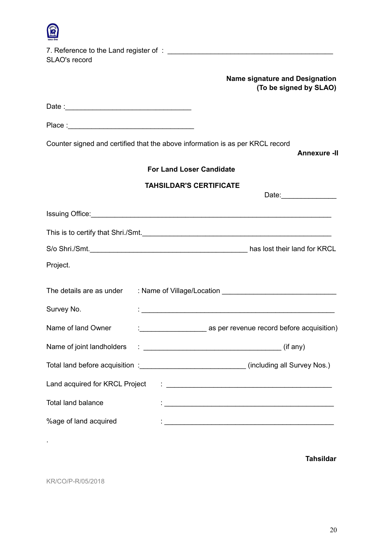| SLAO's record                  |                                                                                                                                                                                                                                      |
|--------------------------------|--------------------------------------------------------------------------------------------------------------------------------------------------------------------------------------------------------------------------------------|
|                                | <b>Name signature and Designation</b><br>(To be signed by SLAO)                                                                                                                                                                      |
|                                |                                                                                                                                                                                                                                      |
|                                |                                                                                                                                                                                                                                      |
|                                | Counter signed and certified that the above information is as per KRCL record<br><b>Annexure -II</b>                                                                                                                                 |
|                                | <b>For Land Loser Candidate</b>                                                                                                                                                                                                      |
|                                | <b>TAHSILDAR'S CERTIFICATE</b>                                                                                                                                                                                                       |
|                                |                                                                                                                                                                                                                                      |
|                                | Issuing Office: <u>Commission Commission Commission Commission Commission Commission Commission Commission Commission Commission Commission Commission Commission Commission Commission Commission Commission Commission Commiss</u> |
|                                | This is to certify that Shri./Smt.                                                                                                                                                                                                   |
|                                |                                                                                                                                                                                                                                      |
| Project.                       |                                                                                                                                                                                                                                      |
|                                | The details are as under : Name of Village/Location ____________________________                                                                                                                                                     |
| Survey No.                     |                                                                                                                                                                                                                                      |
| Name of land Owner             | : ___________________________ as per revenue record before acquisition)                                                                                                                                                              |
| Name of joint landholders      |                                                                                                                                                                                                                                      |
|                                | Total land before acquisition : ________________________________(including all Survey Nos.)                                                                                                                                          |
| Land acquired for KRCL Project |                                                                                                                                                                                                                                      |
| <b>Total land balance</b>      | <u> 1989 - Johann John Stone, markin film yn y brenin y brenin y brenin y brenin y brenin y brenin y brenin y br</u>                                                                                                                 |
| %age of land acquired          | <u> 1989 - Johann John Stein, marwolaethau (b. 1989)</u>                                                                                                                                                                             |

**Tahsildar** 

KR/CO/P-R/05/2018

.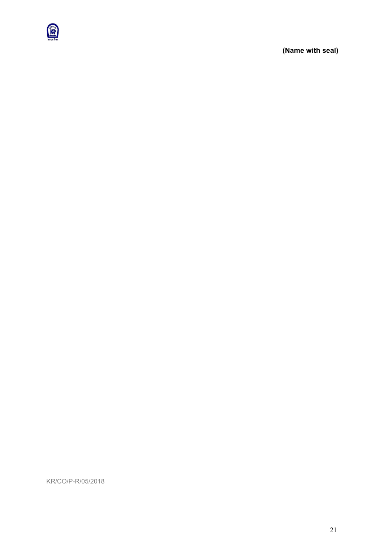

**(Name with seal)**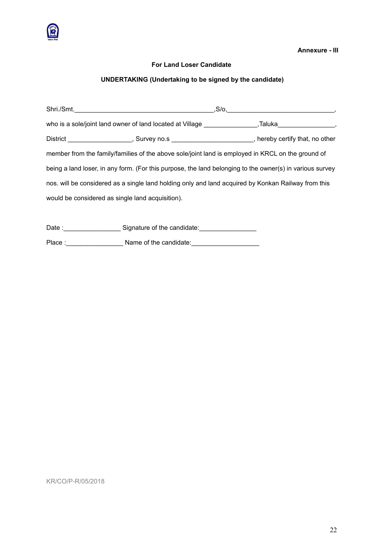

**Annexure - III**

#### **For Land Loser Candidate**

## **UNDERTAKING (Undertaking to be signed by the candidate)**

| Shri./Smt.                                                                                               | ,S/o,   |  |
|----------------------------------------------------------------------------------------------------------|---------|--|
| who is a sole/joint land owner of land located at Village                                                | ,Taluka |  |
| District _____________________, Survey no.s ________________________, hereby certify that, no other      |         |  |
| member from the family/families of the above sole/joint land is employed in KRCL on the ground of        |         |  |
| being a land loser, in any form. (For this purpose, the land belonging to the owner(s) in various survey |         |  |
| nos. will be considered as a single land holding only and land acquired by Konkan Railway from this      |         |  |
| would be considered as single land acquisition).                                                         |         |  |
|                                                                                                          |         |  |

Date :\_\_\_\_\_\_\_\_\_\_\_\_\_\_\_\_\_\_\_\_\_\_\_\_ Signature of the candidate:\_\_\_\_\_\_\_\_\_\_\_\_\_\_\_\_\_\_\_\_\_\_ Place :\_\_\_\_\_\_\_\_\_\_\_\_\_\_\_\_ Name of the candidate:\_\_\_\_\_\_\_\_\_\_\_\_\_\_\_\_\_\_\_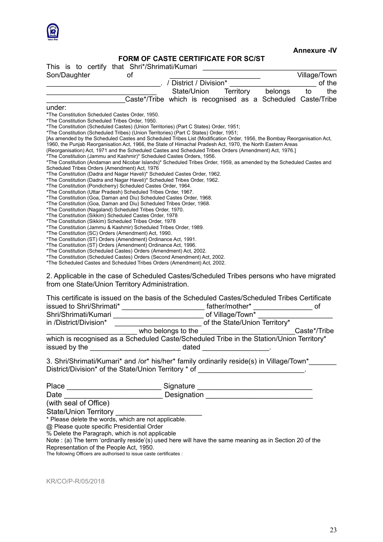

#### **Annexure -IV**

# **FORM OF CASTE CERTIFICATE FOR SC/ST**

| This is to certify that Shri*/Shrimati/Kumari                                                                                                                          | <u>TUNITUL VASTE VENTITUATE LUN SUIST</u>                   |                          |                  |  |                               |              |
|------------------------------------------------------------------------------------------------------------------------------------------------------------------------|-------------------------------------------------------------|--------------------------|------------------|--|-------------------------------|--------------|
| Son/Daughter                                                                                                                                                           | οf                                                          |                          |                  |  |                               | Village/Town |
|                                                                                                                                                                        |                                                             | . / District / Division* |                  |  |                               | of the       |
|                                                                                                                                                                        |                                                             | State/Union              | Territory        |  | belongs                       | the<br>to    |
|                                                                                                                                                                        | Caste*/Tribe which is recognised as a Scheduled Caste/Tribe |                          |                  |  |                               |              |
| under:                                                                                                                                                                 |                                                             |                          |                  |  |                               |              |
| *The Constitution Scheduled Castes Order, 1950.                                                                                                                        |                                                             |                          |                  |  |                               |              |
| *The Constitution Scheduled Tribes Order, 1950.                                                                                                                        |                                                             |                          |                  |  |                               |              |
| *The Constitution (Scheduled Castes) (Union Territories) (Part C States) Order, 1951;                                                                                  |                                                             |                          |                  |  |                               |              |
| *The Constitution (Scheduled Tribes) (Union Territories) (Part C States) Order, 1951;                                                                                  |                                                             |                          |                  |  |                               |              |
| [As amended by the Scheduled Castes and Scheduled Tribes List (Modification Order, 1956, the Bombay Reorganisation Act,                                                |                                                             |                          |                  |  |                               |              |
| 1960, the Punjab Reorganisation Act, 1966, the State of Himachal Pradesh Act, 1970, the North Eastern Areas                                                            |                                                             |                          |                  |  |                               |              |
| (Reorganisation) Act, 1971 and the Scheduled Castes and Scheduled Tribes Orders (Amendment) Act, 1976.]                                                                |                                                             |                          |                  |  |                               |              |
| *The Constitution (Jammu and Kashmir)* Scheduled Castes Orders, 1956.                                                                                                  |                                                             |                          |                  |  |                               |              |
| *The Constitution (Andaman and Nicobar Islands)* Scheduled Tribes Order, 1959, as amended by the Scheduled Castes and<br>Scheduled Tribes Orders (Amendment) Act, 1976 |                                                             |                          |                  |  |                               |              |
| *The Constitution (Dadra and Nagar Haveli)* Scheduled Castes Order, 1962.                                                                                              |                                                             |                          |                  |  |                               |              |
| *The Constitution (Dadra and Nagar Haveli)* Scheduled Tribes Order, 1962.                                                                                              |                                                             |                          |                  |  |                               |              |
| *The Constitution (Pondicherry) Scheduled Castes Order, 1964.                                                                                                          |                                                             |                          |                  |  |                               |              |
| *The Constitution (Uttar Pradesh) Scheduled Tribes Order, 1967.                                                                                                        |                                                             |                          |                  |  |                               |              |
| *The Constitution (Goa, Daman and Diu) Scheduled Castes Order, 1968.                                                                                                   |                                                             |                          |                  |  |                               |              |
| *The Constitution (Goa, Daman and Diu) Scheduled Tribes Order, 1968.                                                                                                   |                                                             |                          |                  |  |                               |              |
| *The Constitution (Nagaland) Scheduled Tribes Order, 1970.                                                                                                             |                                                             |                          |                  |  |                               |              |
| *The Constitution (Sikkim) Scheduled Castes Order, 1978                                                                                                                |                                                             |                          |                  |  |                               |              |
| *The Constitution (Sikkim) Scheduled Tribes Order, 1978                                                                                                                |                                                             |                          |                  |  |                               |              |
| *The Constitution (Jammu & Kashmir) Scheduled Tribes Order, 1989.                                                                                                      |                                                             |                          |                  |  |                               |              |
| *The Constitution (SC) Orders (Amendment) Act, 1990.                                                                                                                   |                                                             |                          |                  |  |                               |              |
| *The Constitution (ST) Orders (Amendment) Ordinance Act, 1991.                                                                                                         |                                                             |                          |                  |  |                               |              |
| *The Constitution (ST) Orders (Amendment) Ordinance Act, 1996.<br>*The Constitution (Scheduled Castes) Orders (Amendment) Act, 2002.                                   |                                                             |                          |                  |  |                               |              |
| *The Constitution (Scheduled Castes) Orders (Second Amendment) Act, 2002.                                                                                              |                                                             |                          |                  |  |                               |              |
| *The Scheduled Castes and Scheduled Tribes Orders (Amendment) Act, 2002.                                                                                               |                                                             |                          |                  |  |                               |              |
|                                                                                                                                                                        |                                                             |                          |                  |  |                               |              |
| 2. Applicable in the case of Scheduled Castes/Scheduled Tribes persons who have migrated                                                                               |                                                             |                          |                  |  |                               |              |
| from one State/Union Territory Administration.                                                                                                                         |                                                             |                          |                  |  |                               |              |
|                                                                                                                                                                        |                                                             |                          |                  |  |                               |              |
| This certificate is issued on the basis of the Scheduled Castes/Scheduled Tribes Certificate                                                                           |                                                             |                          |                  |  |                               |              |
|                                                                                                                                                                        |                                                             |                          |                  |  |                               |              |
|                                                                                                                                                                        |                                                             |                          | father/mother*   |  |                               | of           |
| Shri/Shrimati/Kumari                                                                                                                                                   |                                                             |                          | of Village/Town* |  |                               |              |
| in /District/Division*                                                                                                                                                 |                                                             |                          |                  |  | of the State/Union Territory* |              |

\_\_\_\_\_\_\_\_\_\_\_\_\_\_\_\_\_\_\_\_\_\_\_ who belongs to the \_\_\_\_\_\_\_\_\_\_\_\_\_\_\_\_\_\_\_\_\_\_\_\_Caste\*/Tribe which is recognised as a Scheduled Caste/Scheduled Tribe in the Station/Union Territory\* issued by the \_\_\_\_\_\_\_\_\_\_\_\_\_\_\_\_\_\_\_\_\_\_\_ dated \_\_\_\_\_\_\_\_\_\_\_\_\_\_\_\_\_.

3. Shri/Shrimati/Kumari\* and /or\* his/her\* family ordinarily reside(s) in Village/Town\* District/Division\* of the State/Union Territory \* of \_\_\_\_\_\_\_\_\_\_\_\_\_\_\_\_\_\_\_\_\_\_\_\_\_\_\_

| Place | Signature   |
|-------|-------------|
| Date  | Designation |
|       | _______     |

(with seal of Office)

State/Union Territory \_\_\_\_\_\_\_\_\_\_\_\_\_\_\_\_\_\_\_\_\_

\* Please delete the words, which are not applicable.

@ Please quote specific Presidential Order

% Delete the Paragraph, which is not applicable

Note : (a) The term 'ordinarily reside'(s) used here will have the same meaning as in Section 20 of the Representation of the People Act, 1950.

The following Officers are authorised to issue caste certificates :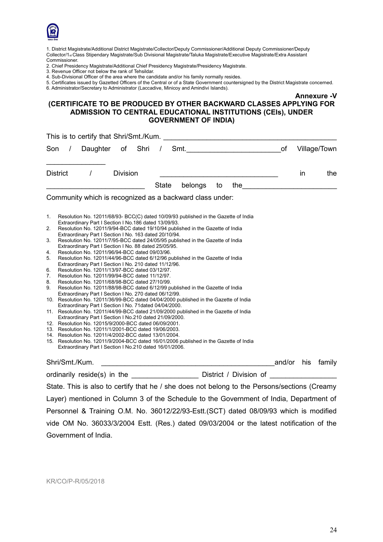

1. District Magistrate/Additional District Magistrate/Collector/Deputy Commissioner/Additional Deputy Commissioner/Deputy Collector/1st Class Stipendary Magistrate/Sub Divisional Magistrate/Taluka Magistrate/Executive Magistrate/Extra Assistant Commissioner.

2. Chief Presidency Magistrate/Additional Chief Presidency Magistrate/Presidency Magistrate.

3. Revenue Officer not below the rank of Tehsildar.

- 4. Sub-Divisional Officer of the area where the candidate and/or his family normally resides.
- 5. Certificates issued by Gazetted Officers of the Central or of a State Government countersigned by the District Magistrate concerned.

6. Administrator/Secretary to Administrator (Laccadive, Minicoy and Amindivi Islands).

#### **(CERTIFICATE TO BE PRODUCED BY OTHER BACKWARD CLASSES APPLYING FOR ADMISSION TO CENTRAL EDUCATIONAL INSTITUTIONS (CEls), UNDER GOVERNMENT OF INDIA)**

| This is to certify that Shri/Smt./Kum.<br><u> 1989 - Johann Barnett, fransk politiker (d. 1989)</u>                                                                                                                                                                                                                                                                                            |        |     |              |
|------------------------------------------------------------------------------------------------------------------------------------------------------------------------------------------------------------------------------------------------------------------------------------------------------------------------------------------------------------------------------------------------|--------|-----|--------------|
| Daughter of Shri<br>$\frac{1}{2}$<br>Son                                                                                                                                                                                                                                                                                                                                                       |        |     | Village/Town |
| <b>Division</b><br>District<br>$\prime$                                                                                                                                                                                                                                                                                                                                                        |        | in  | the          |
| <b>State</b><br>the <u>the the set of the set of the set of the set of the set of the set of the set of the set of the set of the set of the set of the set of the set of the set of the set of the set of the set of the set of the set of the </u><br>belongs<br>to<br><u> 1990 - Johann Barbara, martin din Barbara, martxa a shekara 1991 - An tsa a shekara 1991 - An tsa a shekara 1</u> |        |     |              |
| Community which is recognized as a backward class under:                                                                                                                                                                                                                                                                                                                                       |        |     |              |
| 1.<br>Resolution No. 12011/68/93- BCC(C) dated 10/09/93 published in the Gazette of India                                                                                                                                                                                                                                                                                                      |        |     |              |
| Extraordinary Part I Section I No.186 dated 13/09/93.                                                                                                                                                                                                                                                                                                                                          |        |     |              |
| 2.<br>Resolution No. 12011/9/94-BCC dated 19/10/94 published in the Gazette of India                                                                                                                                                                                                                                                                                                           |        |     |              |
| Extraordinary Part I Section I No. 163 dated 20/10/94.<br>Resolution No. 12011/7/95-BCC dated 24/05/95 published in the Gazette of India<br>3.                                                                                                                                                                                                                                                 |        |     |              |
| Extraordinary Part I Section I No. 88 dated 25/05/95.                                                                                                                                                                                                                                                                                                                                          |        |     |              |
| Resolution No. 12011/96/94-BCC dated 09/03/96.<br>4.                                                                                                                                                                                                                                                                                                                                           |        |     |              |
| 5.<br>Resolution No. 12011/44/96-BCC dated 6/12/96 published in the Gazette of India                                                                                                                                                                                                                                                                                                           |        |     |              |
| Extraordinary Part I Section I No. 210 dated 11/12/96.                                                                                                                                                                                                                                                                                                                                         |        |     |              |
| 6.<br>Resolution No. 12011/13/97-BCC dated 03/12/97.                                                                                                                                                                                                                                                                                                                                           |        |     |              |
| 7.<br>Resolution No. 12011/99/94-BCC dated 11/12/97.                                                                                                                                                                                                                                                                                                                                           |        |     |              |
| 8.<br>Resolution No. 12011/68/98-BCC dated 27/10/99.<br>9.<br>Resolution No. 12011/88/98-BCC dated 6/12/99 published in the Gazette of India                                                                                                                                                                                                                                                   |        |     |              |
| Extraordinary Part I Section I No. 270 dated 06/12/99.                                                                                                                                                                                                                                                                                                                                         |        |     |              |
| 10. Resolution No. 12011/36/99-BCC dated 04/04/2000 published in the Gazette of India                                                                                                                                                                                                                                                                                                          |        |     |              |
| Extraordinary Part I Section I No. 71dated 04/04/2000.                                                                                                                                                                                                                                                                                                                                         |        |     |              |
| 11. Resolution No. 12011/44/99-BCC dated 21/09/2000 published in the Gazette of India                                                                                                                                                                                                                                                                                                          |        |     |              |
| Extraordinary Part I Section I No.210 dated 21/09/2000.                                                                                                                                                                                                                                                                                                                                        |        |     |              |
| 12. Resolution No. 12015/9/2000-BCC dated 06/09/2001.                                                                                                                                                                                                                                                                                                                                          |        |     |              |
| 13. Resolution No. 12011/1/2001-BCC dated 19/06/2003.                                                                                                                                                                                                                                                                                                                                          |        |     |              |
| 14. Resolution No. 12011/4/2002-BCC dated 13/01/2004.<br>15. Resolution No. 12011/9/2004-BCC dated 16/01/2006 published in the Gazette of India                                                                                                                                                                                                                                                |        |     |              |
| Extraordinary Part I Section I No.210 dated 16/01/2006.                                                                                                                                                                                                                                                                                                                                        |        |     |              |
|                                                                                                                                                                                                                                                                                                                                                                                                |        |     |              |
| Shri/Smt./Kum.<br><u> 1989 - Johann Barn, mars ann an t-Amhain an t-Amhain an t-Amhain an t-Amhain an t-Amhain an t-Amhain an t-Amh</u>                                                                                                                                                                                                                                                        | and/or | his | family       |
| ordinarily reside(s) in the _______________________ District / Division of ________________________                                                                                                                                                                                                                                                                                            |        |     |              |
| State. This is also to certify that he / she does not belong to the Persons/sections (Creamy                                                                                                                                                                                                                                                                                                   |        |     |              |
| Layer) mentioned in Column 3 of the Schedule to the Government of India, Department of                                                                                                                                                                                                                                                                                                         |        |     |              |
| Personnel & Training O.M. No. 36012/22/93-Estt. (SCT) dated 08/09/93 which is modified                                                                                                                                                                                                                                                                                                         |        |     |              |
| vide OM No. 36033/3/2004 Estt. (Res.) dated 09/03/2004 or the latest notification of the                                                                                                                                                                                                                                                                                                       |        |     |              |

KR/CO/P-R/05/2018

Government of India.

**Annexure -V**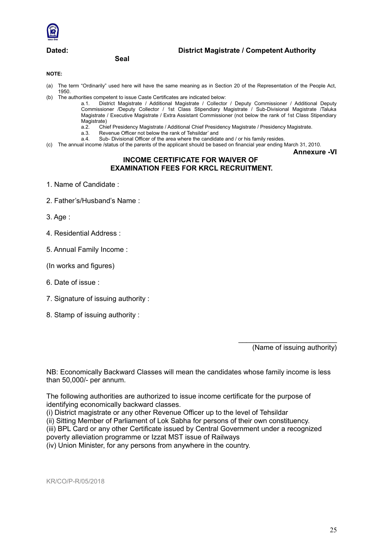

### **Seal**

**Dated: District Magistrate / Competent Authority**

#### **NOTE:**

- (a) The term "Ordinarily" used here will have the same meaning as in Section 20 of the Representation of the People Act, 1950.
- (b) The authorities competent to issue Caste Certificates are indicated below:
	- a.1. District Magistrate / Additional Magistrate / Collector / Deputy Commissioner / Additional Deputy Commissioner /Deputy Collector / 1st Class Stipendiary Magistrate / Sub-Divisional Magistrate /Taluka Magistrate / Executive Magistrate / Extra Assistant Commissioner (not below the rank of 1st Class Stipendiary Magistrate)
		- a.2. Chief Presidency Magistrate / Additional Chief Presidency Magistrate / Presidency Magistrate.
		- a.3. Revenue Officer not below the rank of Tehsildar' and
	- a.4. Sub- Divisional Officer of the area where the candidate and / or his family resides.
- (c) The annual income /status of the parents of the applicant should be based on financial year ending March 31, 2010.

**Annexure -VI**

#### **INCOME CERTIFICATE FOR WAIVER OF EXAMINATION FEES FOR KRCL RECRUITMENT.**

- 1. Name of Candidate :
- 2. Father's/Husband's Name :

3. Age :

- 4. Residential Address :
- 5. Annual Family Income :
- (In works and figures)
- 6. Date of issue :
- 7. Signature of issuing authority :
- 8. Stamp of issuing authority :

(Name of issuing authority)

\_\_\_\_\_\_\_\_\_\_\_\_\_\_\_\_\_\_\_\_\_\_\_\_\_

NB: Economically Backward Classes will mean the candidates whose family income is less than 50,000/- per annum.

The following authorities are authorized to issue income certificate for the purpose of identifying economically backward classes.

(i) District magistrate or any other Revenue Officer up to the level of Tehsildar

(ii) Sitting Member of Parliament of Lok Sabha for persons of their own constituency.

(iii) BPL Card or any other Certificate issued by Central Government under a recognized poverty alleviation programme or Izzat MST issue of Railways

(iv) Union Minister, for any persons from anywhere in the country.